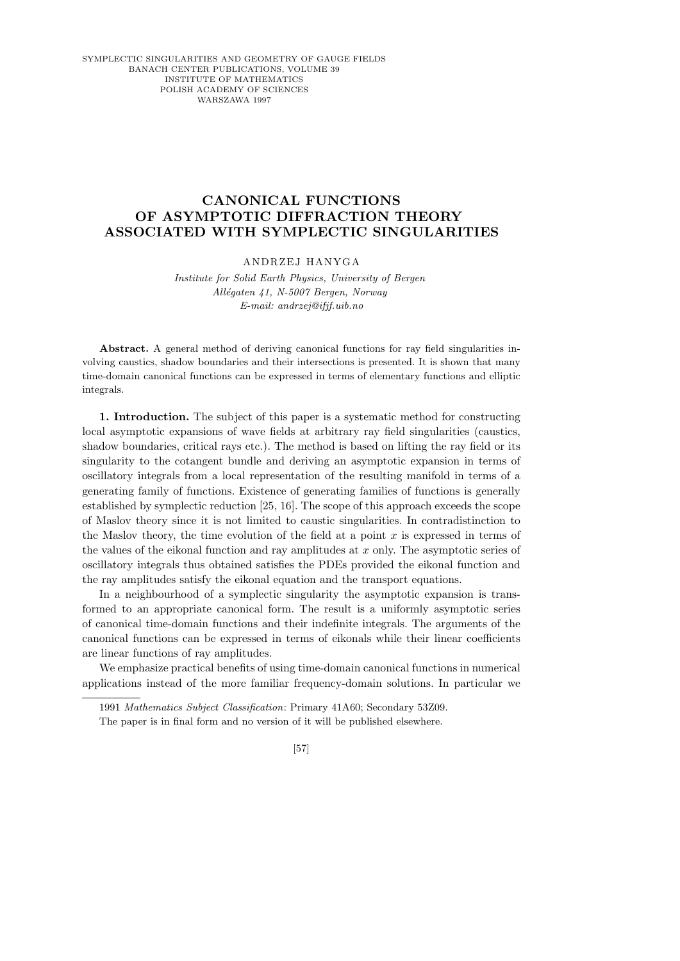SYMPLECTIC SINGULARITIES AND GEOMETRY OF GAUGE FIELDS BANACH CENTER PUBLICATIONS, VOLUME 39 INSTITUTE OF MATHEMATICS POLISH ACADEMY OF SCIENCES WARSZAWA 1997

## **CANONICAL FUNCTIONS OF ASYMPTOTIC DIFFRACTION THEORY ASSOCIATED WITH SYMPLECTIC SINGULARITIES**

## ANDRZEJ HANYGA

*Institute for Solid Earth Physics, University of Bergen All´egaten 41, N-5007 Bergen, Norway E-mail: andrzej@ifjf.uib.no*

**Abstract.** A general method of deriving canonical functions for ray field singularities involving caustics, shadow boundaries and their intersections is presented. It is shown that many time-domain canonical functions can be expressed in terms of elementary functions and elliptic integrals.

1. Introduction. The subject of this paper is a systematic method for constructing local asymptotic expansions of wave fields at arbitrary ray field singularities (caustics, shadow boundaries, critical rays etc.). The method is based on lifting the ray field or its singularity to the cotangent bundle and deriving an asymptotic expansion in terms of oscillatory integrals from a local representation of the resulting manifold in terms of a generating family of functions. Existence of generating families of functions is generally established by symplectic reduction [25, 16]. The scope of this approach exceeds the scope of Maslov theory since it is not limited to caustic singularities. In contradistinction to the Maslov theory, the time evolution of the field at a point  $x$  is expressed in terms of the values of the eikonal function and ray amplitudes at  $x$  only. The asymptotic series of oscillatory integrals thus obtained satisfies the PDEs provided the eikonal function and the ray amplitudes satisfy the eikonal equation and the transport equations.

In a neighbourhood of a symplectic singularity the asymptotic expansion is transformed to an appropriate canonical form. The result is a uniformly asymptotic series of canonical time-domain functions and their indefinite integrals. The arguments of the canonical functions can be expressed in terms of eikonals while their linear coefficients are linear functions of ray amplitudes.

We emphasize practical benefits of using time-domain canonical functions in numerical applications instead of the more familiar frequency-domain solutions. In particular we

[57]

<sup>1991</sup> *Mathematics Subject Classification*: Primary 41A60; Secondary 53Z09.

The paper is in final form and no version of it will be published elsewhere.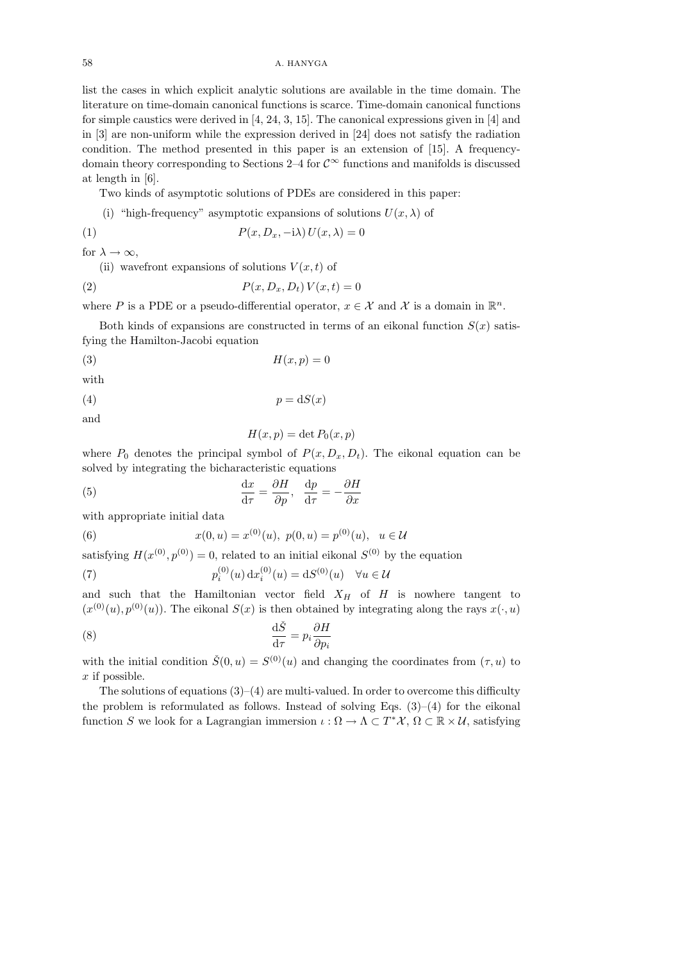list the cases in which explicit analytic solutions are available in the time domain. The literature on time-domain canonical functions is scarce. Time-domain canonical functions for simple caustics were derived in [4, 24, 3, 15]. The canonical expressions given in [4] and in [3] are non-uniform while the expression derived in [24] does not satisfy the radiation condition. The method presented in this paper is an extension of [15]. A frequencydomain theory corresponding to Sections 2–4 for  $\mathcal{C}^{\infty}$  functions and manifolds is discussed at length in [6].

Two kinds of asymptotic solutions of PDEs are considered in this paper:

(i) "high-frequency" asymptotic expansions of solutions  $U(x, \lambda)$  of

(1) 
$$
P(x, D_x, -i\lambda) U(x, \lambda) = 0
$$

for  $\lambda \to \infty$ ,

(ii) wavefront expansions of solutions  $V(x, t)$  of

$$
(2) \t\t P(x, D_x, D_t) V(x, t) = 0
$$

where P is a PDE or a pseudo-differential operator,  $x \in \mathcal{X}$  and X is a domain in  $\mathbb{R}^n$ .

Both kinds of expansions are constructed in terms of an eikonal function  $S(x)$  satisfying the Hamilton-Jacobi equation

$$
(3) \t\t\t H(x,p) = 0
$$

with

$$
(4) \t\t\t p = dS(x)
$$

and

$$
H(x, p) = \det P_0(x, p)
$$

where  $P_0$  denotes the principal symbol of  $P(x, D_x, D_t)$ . The eikonal equation can be solved by integrating the bicharacteristic equations

(5) 
$$
\frac{\mathrm{d}x}{\mathrm{d}\tau} = \frac{\partial H}{\partial p}, \quad \frac{\mathrm{d}p}{\mathrm{d}\tau} = -\frac{\partial H}{\partial x}
$$

with appropriate initial data

(6) 
$$
x(0, u) = x^{(0)}(u), \ p(0, u) = p^{(0)}(u), \ u \in \mathcal{U}
$$

satisfying  $H(x^{(0)}, p^{(0)}) = 0$ , related to an initial eikonal  $S^{(0)}$  by the equation

(7) 
$$
p_i^{(0)}(u) dx_i^{(0)}(u) = dS^{(0)}(u) \quad \forall u \in \mathcal{U}
$$

and such that the Hamiltonian vector field  $X_H$  of H is nowhere tangent to  $(x^{(0)}(u), p^{(0)}(u))$ . The eikonal  $S(x)$  is then obtained by integrating along the rays  $x(\cdot, u)$ 

(8) 
$$
\frac{\mathrm{d}\check{S}}{\mathrm{d}\tau} = p_i \frac{\partial H}{\partial p_i}
$$

with the initial condition  $\check{S}(0, u) = S^{(0)}(u)$  and changing the coordinates from  $(\tau, u)$  to  $x$  if possible.

The solutions of equations  $(3)$ – $(4)$  are multi-valued. In order to overcome this difficulty the problem is reformulated as follows. Instead of solving Eqs.  $(3)-(4)$  for the eikonal function S we look for a Lagrangian immersion  $\iota : \Omega \to \Lambda \subset T^*X$ ,  $\Omega \subset \mathbb{R} \times \mathcal{U}$ , satisfying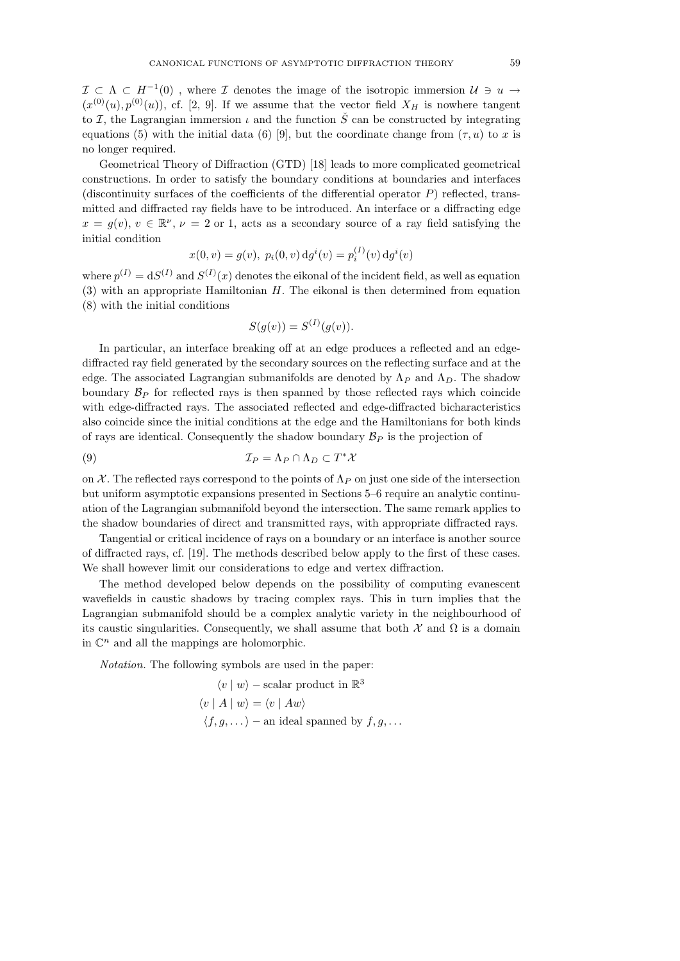$\mathcal{I} \subset \Lambda \subset H^{-1}(0)$ , where  $\mathcal I$  denotes the image of the isotropic immersion  $\mathcal U \ni u \to$  $(x^{(0)}(u), p^{(0)}(u))$ , cf. [2, 9]. If we assume that the vector field  $X_H$  is nowhere tangent to I, the Lagrangian immersion  $\iota$  and the function  $\check{S}$  can be constructed by integrating equations (5) with the initial data (6) [9], but the coordinate change from  $(\tau, u)$  to x is no longer required.

Geometrical Theory of Diffraction (GTD) [18] leads to more complicated geometrical constructions. In order to satisfy the boundary conditions at boundaries and interfaces (discontinuity surfaces of the coefficients of the differential operator  $P$ ) reflected, transmitted and diffracted ray fields have to be introduced. An interface or a diffracting edge  $x = g(v)$ ,  $v \in \mathbb{R}^{\nu}$ ,  $\nu = 2$  or 1, acts as a secondary source of a ray field satisfying the initial condition

$$
x(0, v) = g(v), \ p_i(0, v) \, dg^i(v) = p_i^{(I)}(v) \, dg^i(v)
$$

where  $p^{(I)} = dS^{(I)}$  and  $S^{(I)}(x)$  denotes the eikonal of the incident field, as well as equation  $(3)$  with an appropriate Hamiltonian H. The eikonal is then determined from equation (8) with the initial conditions

$$
S(g(v)) = S(I)(g(v)).
$$

In particular, an interface breaking off at an edge produces a reflected and an edgediffracted ray field generated by the secondary sources on the reflecting surface and at the edge. The associated Lagrangian submanifolds are denoted by  $\Lambda_P$  and  $\Lambda_D$ . The shadow boundary  $\mathcal{B}_P$  for reflected rays is then spanned by those reflected rays which coincide with edge-diffracted rays. The associated reflected and edge-diffracted bicharacteristics also coincide since the initial conditions at the edge and the Hamiltonians for both kinds of rays are identical. Consequently the shadow boundary  $\mathcal{B}_P$  is the projection of

(9) 
$$
\mathcal{I}_P = \Lambda_P \cap \Lambda_D \subset T^* \mathcal{X}
$$

on X. The reflected rays correspond to the points of  $\Lambda_P$  on just one side of the intersection but uniform asymptotic expansions presented in Sections 5–6 require an analytic continuation of the Lagrangian submanifold beyond the intersection. The same remark applies to the shadow boundaries of direct and transmitted rays, with appropriate diffracted rays.

Tangential or critical incidence of rays on a boundary or an interface is another source of diffracted rays, cf. [19]. The methods described below apply to the first of these cases. We shall however limit our considerations to edge and vertex diffraction.

The method developed below depends on the possibility of computing evanescent wavefields in caustic shadows by tracing complex rays. This in turn implies that the Lagrangian submanifold should be a complex analytic variety in the neighbourhood of its caustic singularities. Consequently, we shall assume that both  $\mathcal X$  and  $\Omega$  is a domain in  $\mathbb{C}^n$  and all the mappings are holomorphic.

Notation. The following symbols are used in the paper:

$$
\langle v | w \rangle - \text{scalar product in } \mathbb{R}^3
$$
  

$$
\langle v | A | w \rangle = \langle v | A w \rangle
$$
  

$$
\langle f, g, \dots \rangle - \text{an ideal spanned by } f, g, \dots
$$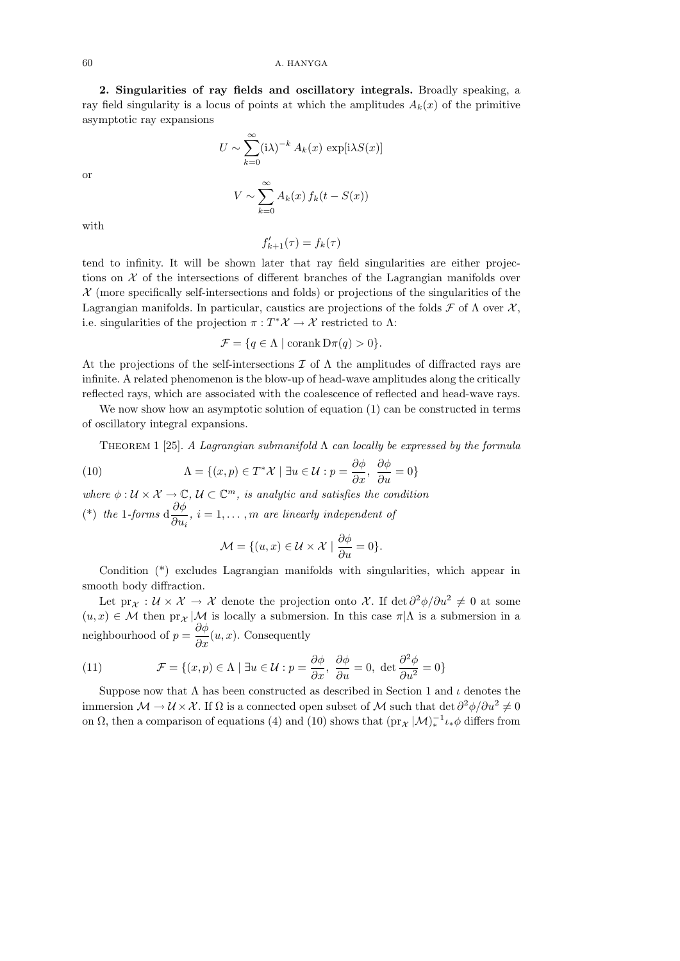2. Singularities of ray fields and oscillatory integrals. Broadly speaking, a ray field singularity is a locus of points at which the amplitudes  $A_k(x)$  of the primitive asymptotic ray expansions

$$
U \sim \sum_{k=0}^{\infty} (\mathrm{i}\lambda)^{-k} A_k(x) \, \exp[\mathrm{i}\lambda S(x)]
$$

$$
V \sim \sum_{k=0}^{\infty} A_k(x) \, f_k(t - S(x))
$$

with

or

 $f'_{k+1}(\tau) = f_k(\tau)$ 

tend to infinity. It will be shown later that ray field singularities are either projections on  $X$  of the intersections of different branches of the Lagrangian manifolds over  $X$  (more specifically self-intersections and folds) or projections of the singularities of the Lagrangian manifolds. In particular, caustics are projections of the folds  $\mathcal F$  of  $\Lambda$  over  $\mathcal X$ , i.e. singularities of the projection  $\pi : T^*\mathcal{X} \to \mathcal{X}$  restricted to  $\Lambda$ :

$$
\mathcal{F} = \{ q \in \Lambda \mid \text{corank } \mathcal{D}\pi(q) > 0 \}.
$$

At the projections of the self-intersections  $\mathcal I$  of  $\Lambda$  the amplitudes of diffracted rays are infinite. A related phenomenon is the blow-up of head-wave amplitudes along the critically reflected rays, which are associated with the coalescence of reflected and head-wave rays.

We now show how an asymptotic solution of equation (1) can be constructed in terms of oscillatory integral expansions.

THEOREM 1 [25]. A Lagrangian submanifold  $\Lambda$  can locally be expressed by the formula

(10) 
$$
\Lambda = \{(x, p) \in T^* \mathcal{X} \mid \exists u \in \mathcal{U} : p = \frac{\partial \phi}{\partial x}, \frac{\partial \phi}{\partial u} = 0\}
$$

where  $\phi: \mathcal{U} \times \mathcal{X} \to \mathbb{C}, \mathcal{U} \subset \mathbb{C}^m$ , is analytic and satisfies the condition (\*) the 1-forms  $d\frac{\partial \phi}{\partial x}$  $\frac{\partial \varphi}{\partial u_i}$ ,  $i = 1, \ldots, m$  are linearly independent of

$$
\mathcal{M} = \{ (u, x) \in \mathcal{U} \times \mathcal{X} \mid \frac{\partial \phi}{\partial u} = 0 \}.
$$

Condition (\*) excludes Lagrangian manifolds with singularities, which appear in smooth body diffraction.

Let  $\text{pr}_\mathcal{X}: \mathcal{U} \times \mathcal{X} \to \mathcal{X}$  denote the projection onto X. If  $\det \partial^2 \phi / \partial u^2 \neq 0$  at some  $(u, x) \in \mathcal{M}$  then  $\mathrm{pr}_{\mathcal{X}} | \mathcal{M}$  is locally a submersion. In this case  $\pi | \Lambda$  is a submersion in a neighbourhood of  $p = \frac{\partial \phi}{\partial x}(u, x)$ . Consequently

(11) 
$$
\mathcal{F} = \{(x, p) \in \Lambda \mid \exists u \in \mathcal{U} : p = \frac{\partial \phi}{\partial x}, \ \frac{\partial \phi}{\partial u} = 0, \ \det \frac{\partial^2 \phi}{\partial u^2} = 0\}
$$

Suppose now that  $\Lambda$  has been constructed as described in Section 1 and  $\iota$  denotes the immersion  $\mathcal{M} \to \mathcal{U} \times \mathcal{X}$ . If  $\Omega$  is a connected open subset of  $\mathcal{M}$  such that det  $\partial^2 \phi / \partial u^2 \neq 0$ on  $\Omega$ , then a comparison of equations (4) and (10) shows that  $(\text{pr}_{\mathcal{X}}|\mathcal{M})_*^{-1}\iota_*\phi$  differs from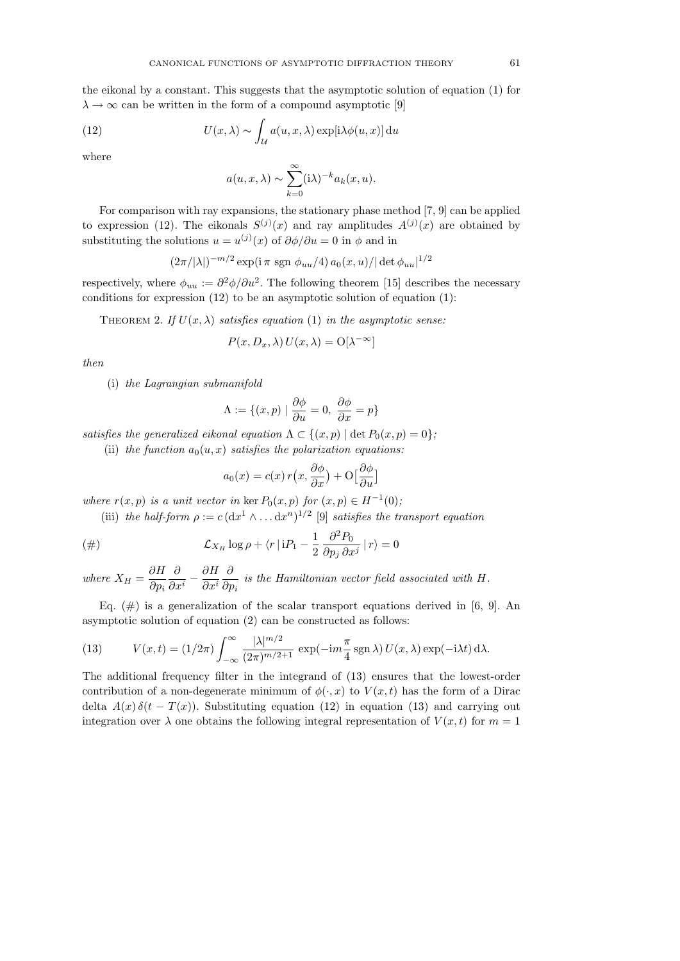the eikonal by a constant. This suggests that the asymptotic solution of equation (1) for  $\lambda \to \infty$  can be written in the form of a compound asymptotic [9]

(12) 
$$
U(x,\lambda) \sim \int_{\mathcal{U}} a(u,x,\lambda) \exp[i\lambda \phi(u,x)] \, \mathrm{d}u
$$

where

$$
a(u, x, \lambda) \sim \sum_{k=0}^{\infty} (\mathrm{i}\lambda)^{-k} a_k(x, u).
$$

For comparison with ray expansions, the stationary phase method [7, 9] can be applied to expression (12). The eikonals  $S^{(j)}(x)$  and ray amplitudes  $A^{(j)}(x)$  are obtained by substituting the solutions  $u = u^{(j)}(x)$  of  $\partial \phi / \partial u = 0$  in  $\phi$  and in

$$
(2\pi/|\lambda|)^{-m/2} \exp(i\pi \, \text{sgn} \, \phi_{uu}/4) \, a_0(x, u) / |\det \phi_{uu}|^{1/2}
$$

respectively, where  $\phi_{uu} := \partial^2 \phi / \partial u^2$ . The following theorem [15] describes the necessary conditions for expression  $(12)$  to be an asymptotic solution of equation  $(1)$ :

THEOREM 2. If  $U(x, \lambda)$  satisfies equation (1) in the asymptotic sense:

$$
P(x, D_x, \lambda) U(x, \lambda) = O[\lambda^{-\infty}]
$$

then

(i) the Lagrangian submanifold

$$
\Lambda := \{ (x, p) \mid \frac{\partial \phi}{\partial u} = 0, \ \frac{\partial \phi}{\partial x} = p \}
$$

satisfies the generalized eikonal equation  $\Lambda \subset \{(x,p) \mid \det P_0(x,p) = 0\}$ ;

(ii) the function  $a_0(u, x)$  satisfies the polarization equations:

$$
a_0(x) = c(x) r(x, \frac{\partial \phi}{\partial x}) + O\left[\frac{\partial \phi}{\partial u}\right]
$$

where  $r(x, p)$  is a unit vector in ker  $P_0(x, p)$  for  $(x, p) \in H^{-1}(0)$ ;

(iii) the half-form  $\rho := c \left( \frac{dx^1}{\lambda} \ldots \frac{dx^n}{\lambda^n} \right)^{1/2}$  [9] satisfies the transport equation

$$
\text{(#)} \qquad \qquad \mathcal{L}_{X_H} \log \rho + \langle r \, | \, \mathrm{i} P_1 - \frac{1}{2} \, \frac{\partial^2 P_0}{\partial p_j \, \partial x^j} \, | \, r \rangle = 0
$$

where  $X_H = \frac{\partial H}{\partial H}$  $\partial p_i$ ∂  $\frac{\partial}{\partial x^i} - \frac{\partial H}{\partial x^i}$  $\partial x^i$ ∂  $\frac{\partial}{\partial p_i}$  is the Hamiltonian vector field associated with H.

Eq.  $(\#)$  is a generalization of the scalar transport equations derived in [6, 9]. An asymptotic solution of equation (2) can be constructed as follows:

(13) 
$$
V(x,t) = (1/2\pi) \int_{-\infty}^{\infty} \frac{|\lambda|^{m/2}}{(2\pi)^{m/2+1}} \exp(-\mathrm{i}m\frac{\pi}{4}\mathrm{sgn}\lambda) U(x,\lambda) \exp(-\mathrm{i}\lambda t) \,\mathrm{d}\lambda.
$$

The additional frequency filter in the integrand of (13) ensures that the lowest-order contribution of a non-degenerate minimum of  $\phi(\cdot, x)$  to  $V(x, t)$  has the form of a Dirac delta  $A(x)\delta(t-T(x))$ . Substituting equation (12) in equation (13) and carrying out integration over  $\lambda$  one obtains the following integral representation of  $V(x, t)$  for  $m = 1$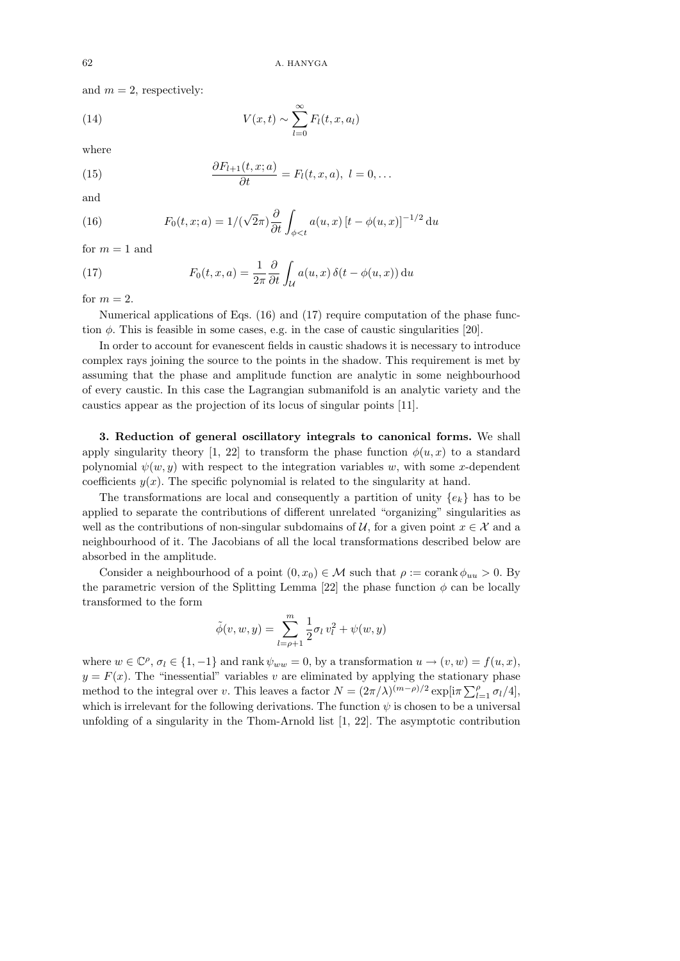and  $m = 2$ , respectively:

(14) 
$$
V(x,t) \sim \sum_{l=0}^{\infty} F_l(t,x,a_l)
$$

where

(15) 
$$
\frac{\partial F_{l+1}(t,x;a)}{\partial t} = F_l(t,x,a), \ l = 0, \ldots
$$

and

(16) 
$$
F_0(t, x; a) = 1/(\sqrt{2}\pi) \frac{\partial}{\partial t} \int_{\phi < t} a(u, x) [t - \phi(u, x)]^{-1/2} du
$$

for  $m = 1$  and

(17) 
$$
F_0(t, x, a) = \frac{1}{2\pi} \frac{\partial}{\partial t} \int_{\mathcal{U}} a(u, x) \, \delta(t - \phi(u, x)) \, \mathrm{d}u
$$

for  $m = 2$ .

Numerical applications of Eqs. (16) and (17) require computation of the phase function  $\phi$ . This is feasible in some cases, e.g. in the case of caustic singularities [20].

In order to account for evanescent fields in caustic shadows it is necessary to introduce complex rays joining the source to the points in the shadow. This requirement is met by assuming that the phase and amplitude function are analytic in some neighbourhood of every caustic. In this case the Lagrangian submanifold is an analytic variety and the caustics appear as the projection of its locus of singular points [11].

3. Reduction of general oscillatory integrals to canonical forms. We shall apply singularity theory [1, 22] to transform the phase function  $\phi(u, x)$  to a standard polynomial  $\psi(w, y)$  with respect to the integration variables w, with some x-dependent coefficients  $y(x)$ . The specific polynomial is related to the singularity at hand.

The transformations are local and consequently a partition of unity  $\{e_k\}$  has to be applied to separate the contributions of different unrelated "organizing" singularities as well as the contributions of non-singular subdomains of U, for a given point  $x \in \mathcal{X}$  and a neighbourhood of it. The Jacobians of all the local transformations described below are absorbed in the amplitude.

Consider a neighbourhood of a point  $(0, x_0) \in \mathcal{M}$  such that  $\rho := \text{corank } \phi_{uu} > 0$ . By the parametric version of the Splitting Lemma [22] the phase function  $\phi$  can be locally transformed to the form

$$
\tilde{\phi}(v, w, y) = \sum_{l = \rho + 1}^{m} \frac{1}{2} \sigma_l v_l^2 + \psi(w, y)
$$

where  $w \in \mathbb{C}^{\rho}, \sigma_l \in \{1, -1\}$  and rank  $\psi_{ww} = 0$ , by a transformation  $u \to (v, w) = f(u, x)$ ,  $y = F(x)$ . The "inessential" variables v are eliminated by applying the stationary phase method to the integral over v. This leaves a factor  $N = (2\pi/\lambda)^{(m-\rho)/2} \exp[i\pi \sum_{l=1}^{\rho} \sigma_l/4],$ which is irrelevant for the following derivations. The function  $\psi$  is chosen to be a universal unfolding of a singularity in the Thom-Arnold list [1, 22]. The asymptotic contribution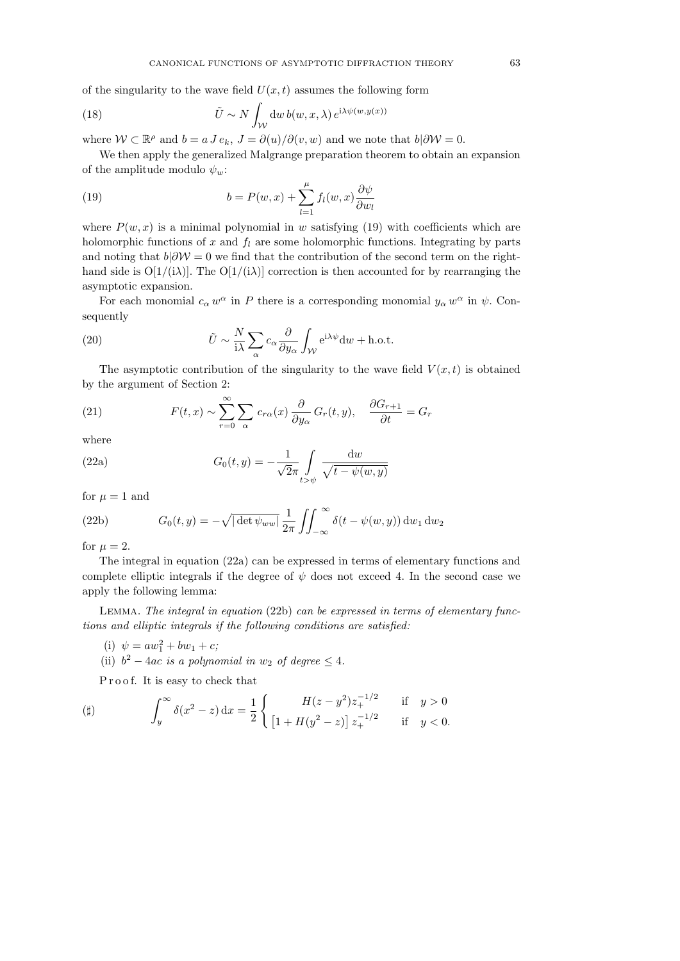of the singularity to the wave field  $U(x, t)$  assumes the following form

(18) 
$$
\tilde{U} \sim N \int_{\mathcal{W}} dw \, b(w, x, \lambda) \, e^{i\lambda \psi(w, y(x))}
$$

where  $W \subset \mathbb{R}^{\rho}$  and  $b = a J e_k$ ,  $J = \partial(u)/\partial(v, w)$  and we note that  $b | \partial W = 0$ .

We then apply the generalized Malgrange preparation theorem to obtain an expansion of the amplitude modulo  $\psi_w$ :

(19) 
$$
b = P(w, x) + \sum_{l=1}^{\mu} f_l(w, x) \frac{\partial \psi}{\partial w_l}
$$

where  $P(w, x)$  is a minimal polynomial in w satisfying (19) with coefficients which are holomorphic functions of  $x$  and  $f_l$  are some holomorphic functions. Integrating by parts and noting that  $b|\partial W = 0$  we find that the contribution of the second term on the righthand side is  $O[1/(\lambda)]$ . The  $O[1/(\lambda)]$  correction is then accounted for by rearranging the asymptotic expansion.

For each monomial  $c_{\alpha} w^{\alpha}$  in P there is a corresponding monomial  $y_{\alpha} w^{\alpha}$  in  $\psi$ . Consequently

(20) 
$$
\tilde{U} \sim \frac{N}{i\lambda} \sum_{\alpha} c_{\alpha} \frac{\partial}{\partial y_{\alpha}} \int_{\mathcal{W}} e^{i\lambda \psi} dw + \text{h.o.t.}
$$

The asymptotic contribution of the singularity to the wave field  $V(x, t)$  is obtained by the argument of Section 2:

(21) 
$$
F(t,x) \sim \sum_{r=0}^{\infty} \sum_{\alpha} c_{r\alpha}(x) \frac{\partial}{\partial y_{\alpha}} G_r(t,y), \quad \frac{\partial G_{r+1}}{\partial t} = G_r
$$

where

(22a) 
$$
G_0(t,y) = -\frac{1}{\sqrt{2}\pi} \int\limits_{t>v} \frac{\mathrm{d}w}{\sqrt{t-\psi(w,y)}}
$$

for  $\mu = 1$  and

(22b) 
$$
G_0(t,y) = -\sqrt{|\det \psi_{ww}|} \frac{1}{2\pi} \iint_{-\infty}^{\infty} \delta(t - \psi(w,y)) dw_1 dw_2
$$

for  $\mu = 2$ .

The integral in equation (22a) can be expressed in terms of elementary functions and complete elliptic integrals if the degree of  $\psi$  does not exceed 4. In the second case we apply the following lemma:

Lemma. The integral in equation (22b) can be expressed in terms of elementary functions and elliptic integrals if the following conditions are satisfied:

- (i)  $\psi = aw_1^2 + bw_1 + c$ ;
- (ii)  $b^2 4ac$  is a polynomial in  $w_2$  of degree  $\leq 4$ .

Proof. It is easy to check that

$$
\text{(ii)} \qquad \qquad \int_{y}^{\infty} \delta(x^2 - z) \, \mathrm{d}x = \frac{1}{2} \left\{ \begin{array}{ccc} H(z - y^2) z_+^{-1/2} & \text{if} & y > 0 \\ \left[ 1 + H(y^2 - z) \right] z_+^{-1/2} & \text{if} & y < 0. \end{array} \right.
$$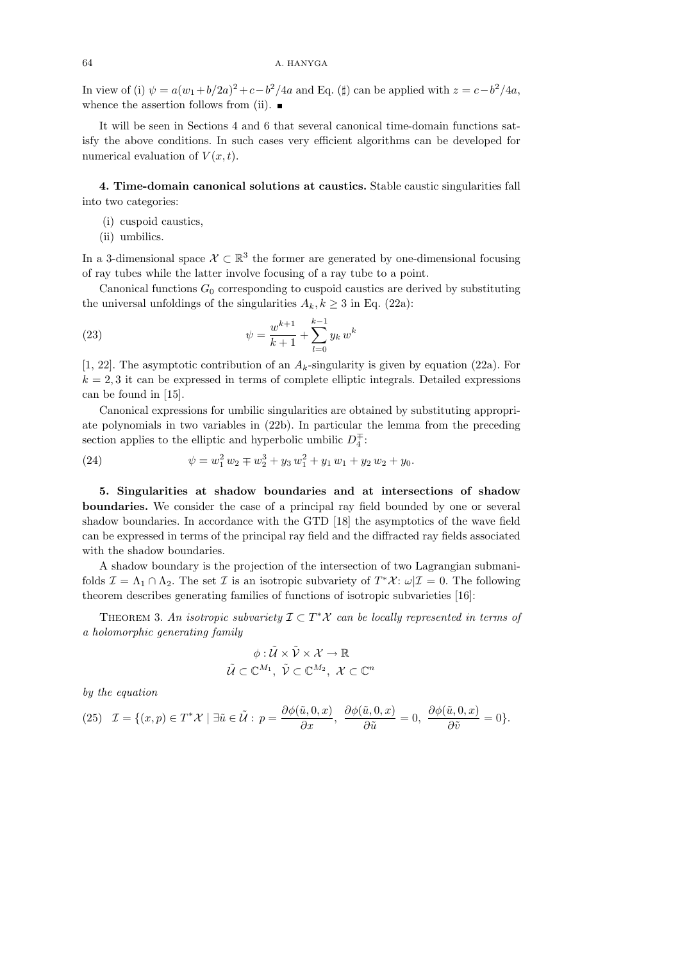In view of (i)  $\psi = a(w_1 + b/2a)^2 + c - b^2/4a$  and Eq. ( $\sharp$ ) can be applied with  $z = c - b^2/4a$ , whence the assertion follows from (ii).  $\blacksquare$ 

It will be seen in Sections 4 and 6 that several canonical time-domain functions satisfy the above conditions. In such cases very efficient algorithms can be developed for numerical evaluation of  $V(x, t)$ .

4. Time-domain canonical solutions at caustics. Stable caustic singularities fall into two categories:

- (i) cuspoid caustics,
- (ii) umbilics.

In a 3-dimensional space  $\mathcal{X} \subset \mathbb{R}^3$  the former are generated by one-dimensional focusing of ray tubes while the latter involve focusing of a ray tube to a point.

Canonical functions  $G_0$  corresponding to cuspoid caustics are derived by substituting the universal unfoldings of the singularities  $A_k, k \geq 3$  in Eq. (22a):

(23) 
$$
\psi = \frac{w^{k+1}}{k+1} + \sum_{l=0}^{k-1} y_k w^k
$$

[1, 22]. The asymptotic contribution of an  $A_k$ -singularity is given by equation (22a). For  $k = 2, 3$  it can be expressed in terms of complete elliptic integrals. Detailed expressions can be found in [15].

Canonical expressions for umbilic singularities are obtained by substituting appropriate polynomials in two variables in (22b). In particular the lemma from the preceding section applies to the elliptic and hyperbolic umbilic  $D_4^{\pm}$ :

(24) 
$$
\psi = w_1^2 w_2 \mp w_2^3 + y_3 w_1^2 + y_1 w_1 + y_2 w_2 + y_0.
$$

5. Singularities at shadow boundaries and at intersections of shadow boundaries. We consider the case of a principal ray field bounded by one or several shadow boundaries. In accordance with the GTD [18] the asymptotics of the wave field can be expressed in terms of the principal ray field and the diffracted ray fields associated with the shadow boundaries.

A shadow boundary is the projection of the intersection of two Lagrangian submanifolds  $\mathcal{I} = \Lambda_1 \cap \Lambda_2$ . The set  $\mathcal{I}$  is an isotropic subvariety of  $T^*\mathcal{X}$ :  $\omega|\mathcal{I} = 0$ . The following theorem describes generating families of functions of isotropic subvarieties [16]:

THEOREM 3. An isotropic subvariety  $\mathcal{I} \subset T^*\mathcal{X}$  can be locally represented in terms of a holomorphic generating family

$$
\phi: \widetilde{\mathcal{U}} \times \widetilde{\mathcal{V}} \times \mathcal{X} \to \mathbb{R}
$$

$$
\widetilde{\mathcal{U}} \subset \mathbb{C}^{M_1}, \ \widetilde{\mathcal{V}} \subset \mathbb{C}^{M_2}, \ \mathcal{X} \subset \mathbb{C}^n
$$

by the equation

(25) 
$$
\mathcal{I} = \{(x, p) \in T^* \mathcal{X} \mid \exists \tilde{u} \in \tilde{\mathcal{U}} : p = \frac{\partial \phi(\tilde{u}, 0, x)}{\partial x}, \frac{\partial \phi(\tilde{u}, 0, x)}{\partial \tilde{u}} = 0, \frac{\partial \phi(\tilde{u}, 0, x)}{\partial \tilde{v}} = 0\}.
$$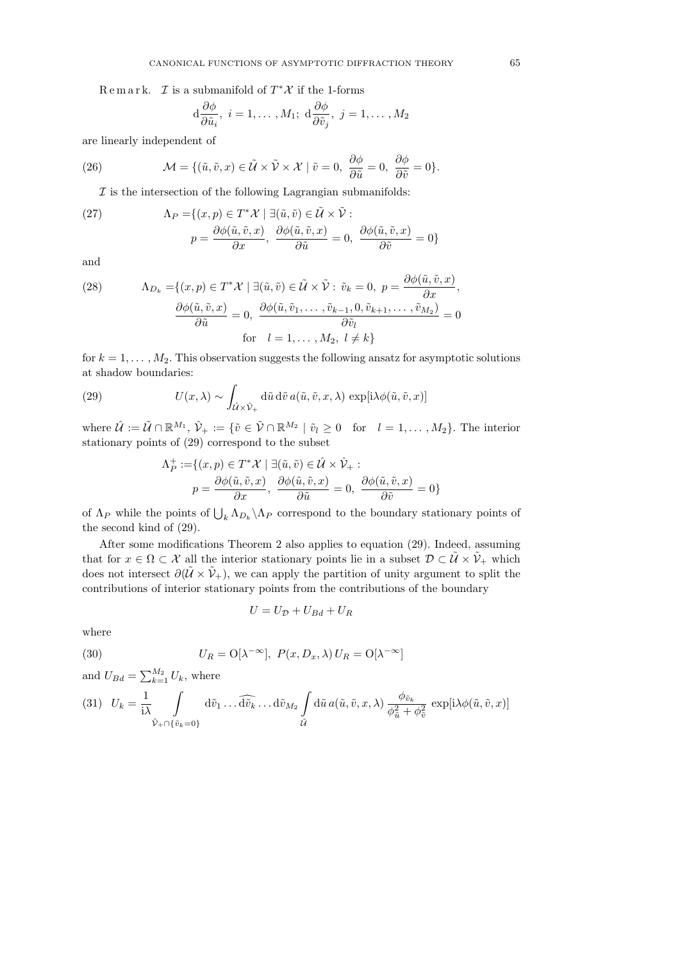Remark. *I* is a submanifold of  $T^*\mathcal{X}$  if the 1-forms

$$
d\frac{\partial\phi}{\partial\tilde{u}_i}
$$
,  $i = 1, ..., M_1$ ;  $d\frac{\partial\phi}{\partial\tilde{v}_j}$ ,  $j = 1, ..., M_2$ 

are linearly independent of

(26) 
$$
\mathcal{M} = \{ (\tilde{u}, \tilde{v}, x) \in \tilde{\mathcal{U}} \times \tilde{\mathcal{V}} \times \mathcal{X} \mid \tilde{v} = 0, \ \frac{\partial \phi}{\partial \tilde{u}} = 0, \ \frac{\partial \phi}{\partial \tilde{v}} = 0 \}.
$$

 $I$  is the intersection of the following Lagrangian submanifolds:

(27) 
$$
\Lambda_P = \{ (x, p) \in T^* \mathcal{X} \mid \exists (\tilde{u}, \tilde{v}) \in \tilde{\mathcal{U}} \times \tilde{\mathcal{V}} :
$$

$$
p = \frac{\partial \phi(\tilde{u}, \tilde{v}, x)}{\partial x}, \frac{\partial \phi(\tilde{u}, \tilde{v}, x)}{\partial \tilde{u}} = 0, \frac{\partial \phi(\tilde{u}, \tilde{v}, x)}{\partial \tilde{v}} = 0 \}
$$

and

(28) 
$$
\Lambda_{D_k} = \{(x, p) \in T^* \mathcal{X} \mid \exists (\tilde{u}, \tilde{v}) \in \tilde{\mathcal{U}} \times \tilde{\mathcal{V}} : \tilde{v}_k = 0, p = \frac{\partial \phi(\tilde{u}, \tilde{v}, x)}{\partial x},
$$

$$
\frac{\partial \phi(\tilde{u}, \tilde{v}, x)}{\partial \tilde{u}} = 0, \frac{\partial \phi(\tilde{u}, \tilde{v}_1, \dots, \tilde{v}_{k-1}, 0, \tilde{v}_{k+1}, \dots, \tilde{v}_{M_2})}{\partial \tilde{v}_l} = 0
$$
for  $l = 1, \dots, M_2, l \neq k$ 

for  $k = 1, \ldots, M_2$ . This observation suggests the following ansatz for asymptotic solutions at shadow boundaries:

(29) 
$$
U(x,\lambda) \sim \int_{\hat{U}\times\hat{V}_{+}} d\tilde{u} d\tilde{v} a(\tilde{u},\tilde{v},x,\lambda) \exp[i\lambda\phi(\tilde{u},\tilde{v},x)]
$$

where  $\hat{\mathcal{U}} := \tilde{\mathcal{U}} \cap \mathbb{R}^{M_1}$ ,  $\hat{\mathcal{V}}_+ := \{ \tilde{v} \in \tilde{\mathcal{V}} \cap \mathbb{R}^{M_2} \mid \tilde{v}_l \geq 0 \text{ for } l = 1, ..., M_2 \}.$  The interior stationary points of (29) correspond to the subset

$$
\begin{aligned} \Lambda_P^+:=&\{(x,p)\in T^*\mathcal{X}\mid \exists (\tilde u,\tilde v)\in\hat{\mathcal{U}}\times\hat{\mathcal{V}}_+: \cr p=\frac{\partial \phi(\tilde u,\tilde v,x)}{\partial x},\;\frac{\partial \phi(\tilde u,\tilde v,x)}{\partial \tilde u}=0,\;\frac{\partial \phi(\tilde u,\tilde v,x)}{\partial \tilde v}=0\}\end{aligned}
$$

of  $\Lambda_P$  while the points of  $\bigcup_k \Lambda_{D_k} \backslash \Lambda_P$  correspond to the boundary stationary points of the second kind of (29).

After some modifications Theorem 2 also applies to equation (29). Indeed, assuming that for  $x \in \Omega \subset \mathcal{X}$  all the interior stationary points lie in a subset  $\mathcal{D} \subset \tilde{\mathcal{U}} \times \tilde{\mathcal{V}}_+$  which does not intersect  $\partial(\tilde{U} \times \tilde{V}_+)$ , we can apply the partition of unity argument to split the contributions of interior stationary points from the contributions of the boundary

$$
U = U_{\mathcal{D}} + U_{Bd} + U_R
$$

where

(30) 
$$
U_R = O[\lambda^{-\infty}], P(x, D_x, \lambda) U_R = O[\lambda^{-\infty}]
$$

and  $U_{Bd} = \sum_{k=1}^{M_2} U_k$ , where

$$
(31) \quad U_k = \frac{1}{i\lambda} \int\limits_{\tilde{\nu}_+ \cap \{\tilde{v}_k = 0\}} d\tilde{v}_1 \dots \widehat{d\tilde{v}_k} \dots d\tilde{v}_{M_2} \int\limits_{\tilde{\mathcal{U}}} d\tilde{u} \, a(\tilde{u}, \tilde{v}, x, \lambda) \, \frac{\phi_{\tilde{v}_k}}{\phi_{\tilde{u}}^2 + \phi_{\tilde{v}}^2} \, \exp[i\lambda\phi(\tilde{u}, \tilde{v}, x)]
$$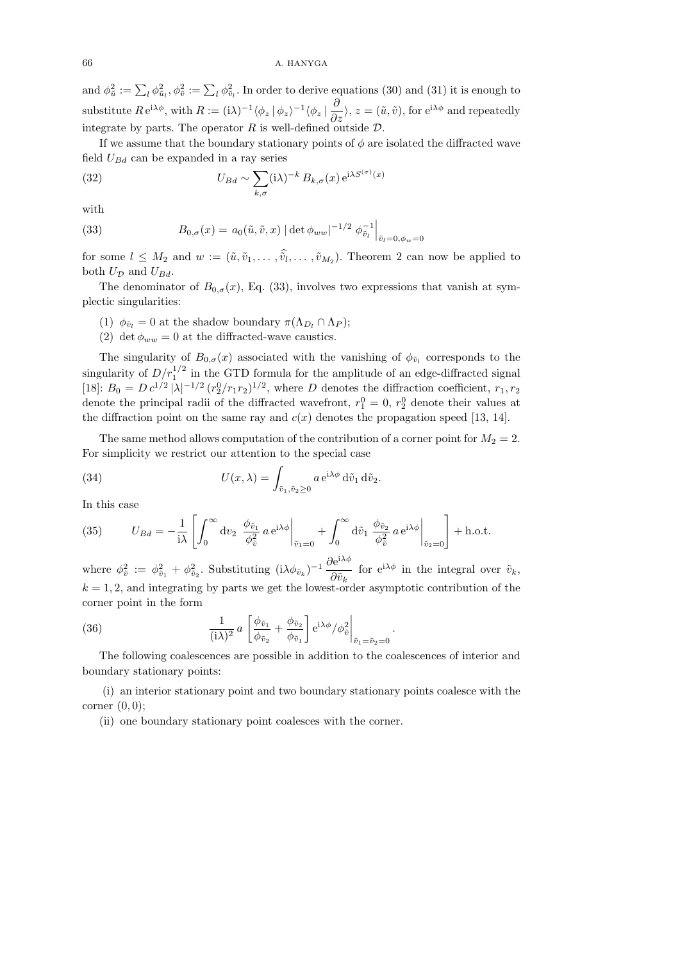and  $\phi_{\tilde{u}}^2 := \sum_l \phi_{\tilde{u}_l}^2$ ,  $\phi_{\tilde{v}}^2 := \sum_l \phi_{\tilde{v}_l}^2$ . In order to derive equations (30) and (31) it is enough to substitute  $R e^{i\lambda \phi}$ , with  $R := (i\lambda)^{-1} \langle \phi_z | \phi_z \rangle^{-1} \langle \phi_z | \frac{\partial}{\partial z} \rangle$ ,  $z = (\tilde{u}, \tilde{v})$ , for  $e^{i\lambda \phi}$  and repeatedly integrate by parts. The operator R is well-defined outside  $\mathcal{D}$ .

If we assume that the boundary stationary points of  $\phi$  are isolated the diffracted wave field  $U_{Bd}$  can be expanded in a ray series

(32) 
$$
U_{Bd} \sim \sum_{k,\sigma} (\mathrm{i}\lambda)^{-k} B_{k,\sigma}(x) \,\mathrm{e}^{\mathrm{i}\lambda S^{(\sigma)}(x)}
$$

with

(33) 
$$
B_{0,\sigma}(x) = a_0(\tilde{u}, \tilde{v}, x) |\det \phi_{ww}|^{-1/2} \phi_{\tilde{v}_l}^{-1} \Big|_{\tilde{v}_l = 0, \phi_w = 0}
$$

for some  $l \leq M_2$  and  $w := (\tilde{u}, \tilde{v}_1, \dots, \tilde{v}_l, \dots, \tilde{v}_{M_2})$ . Theorem 2 can now be applied to both  $U_{\mathcal{D}}$  and  $U_{Bd}$ .

The denominator of  $B_{0,\sigma}(x)$ , Eq. (33), involves two expressions that vanish at symplectic singularities:

- (1)  $\phi_{\tilde{v}_l} = 0$  at the shadow boundary  $\pi(\Lambda_{D_l} \cap \Lambda_P);$
- (2) det  $\phi_{ww} = 0$  at the diffracted-wave caustics.

The singularity of  $B_{0,\sigma}(x)$  associated with the vanishing of  $\phi_{\tilde{v}_l}$  corresponds to the singularity of  $D/r_1^{1/2}$  in the GTD formula for the amplitude of an edge-diffracted signal [18]:  $B_0 = D c^{1/2} |\lambda|^{-1/2} (r_2^0/r_1r_2)^{1/2}$ , where D denotes the diffraction coefficient,  $r_1, r_2$ denote the principal radii of the diffracted wavefront,  $r_1^0 = 0, r_2^0$  denote their values at the diffraction point on the same ray and  $c(x)$  denotes the propagation speed [13, 14].

The same method allows computation of the contribution of a corner point for  $M_2 = 2$ . For simplicity we restrict our attention to the special case

(34) 
$$
U(x,\lambda) = \int_{\tilde{v}_1,\tilde{v}_2 \geq 0} a e^{i\lambda \phi} d\tilde{v}_1 d\tilde{v}_2.
$$

In this case

(35) 
$$
U_{Bd} = -\frac{1}{i\lambda} \left[ \int_0^\infty dv_2 \left. \frac{\phi_{\tilde{v}_1}}{\phi_{\tilde{v}}^2} a e^{i\lambda \phi} \right|_{\tilde{v}_1 = 0} + \int_0^\infty d\tilde{v}_1 \left. \frac{\phi_{\tilde{v}_2}}{\phi_{\tilde{v}}^2} a e^{i\lambda \phi} \right|_{\tilde{v}_2 = 0} \right] + \text{h.o.t.}
$$

where  $\phi_{\tilde{v}}^2 := \phi_{\tilde{v}_1}^2 + \phi_{\tilde{v}_2}^2$ . Substituting  $(i\lambda\phi_{\tilde{v}_k})^{-1} \frac{\partial e^{i\lambda\phi}}{\partial \tilde{v}_k}$  $\frac{\partial \epsilon}{\partial \tilde{v}_k}$  for  $e^{i\lambda \phi}$  in the integral over  $\tilde{v}_k$ ,  $k = 1, 2$ , and integrating by parts we get the lowest-order asymptotic contribution of the corner point in the form

(36) 
$$
\frac{1}{(i\lambda)^2} a \left[ \frac{\phi_{\tilde{v}_1}}{\phi_{\tilde{v}_2}} + \frac{\phi_{\tilde{v}_2}}{\phi_{\tilde{v}_1}} \right] e^{i\lambda \phi} / \phi_{\tilde{v}}^2 \bigg|_{\tilde{v}_1 = \tilde{v}_2 = 0}
$$

The following coalescences are possible in addition to the coalescences of interior and boundary stationary points:

.

(i) an interior stationary point and two boundary stationary points coalesce with the corner  $(0,0);$ 

(ii) one boundary stationary point coalesces with the corner.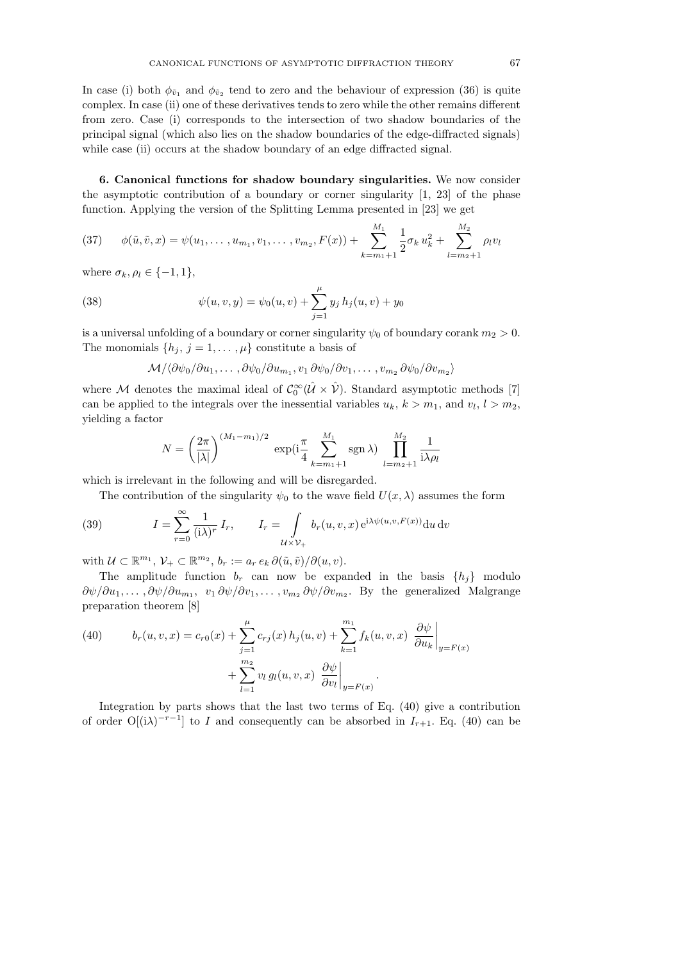In case (i) both  $\phi_{\tilde{v}_1}$  and  $\phi_{\tilde{v}_2}$  tend to zero and the behaviour of expression (36) is quite complex. In case (ii) one of these derivatives tends to zero while the other remains different from zero. Case (i) corresponds to the intersection of two shadow boundaries of the principal signal (which also lies on the shadow boundaries of the edge-diffracted signals) while case (ii) occurs at the shadow boundary of an edge diffracted signal.

6. Canonical functions for shadow boundary singularities. We now consider the asymptotic contribution of a boundary or corner singularity  $[1, 23]$  of the phase function. Applying the version of the Splitting Lemma presented in [23] we get

$$
(37) \qquad \phi(\tilde{u}, \tilde{v}, x) = \psi(u_1, \dots, u_{m_1}, v_1, \dots, v_{m_2}, F(x)) + \sum_{k=m_1+1}^{M_1} \frac{1}{2} \sigma_k u_k^2 + \sum_{l=m_2+1}^{M_2} \rho_l v_l
$$

where  $\sigma_k, \rho_l \in \{-1, 1\}$ ,

(38) 
$$
\psi(u, v, y) = \psi_0(u, v) + \sum_{j=1}^{\mu} y_j h_j(u, v) + y_0
$$

is a universal unfolding of a boundary or corner singularity  $\psi_0$  of boundary corank  $m_2 > 0$ . The monomials  $\{h_j, j = 1, \ldots, \mu\}$  constitute a basis of

$$
\mathcal{M}/\langle \partial \psi_0/\partial u_1,\ldots,\partial \psi_0/\partial u_{m_1},v_1 \partial \psi_0/\partial v_1,\ldots,v_{m_2} \partial \psi_0/\partial v_{m_2}\rangle
$$

where M denotes the maximal ideal of  $C_0^{\infty}(\hat{U} \times \hat{V})$ . Standard asymptotic methods [7] can be applied to the integrals over the inessential variables  $u_k$ ,  $k > m_1$ , and  $v_l$ ,  $l > m_2$ , yielding a factor

$$
N = \left(\frac{2\pi}{|\lambda|}\right)^{(M_1 - m_1)/2} \exp\left(i\frac{\pi}{4} \sum_{k=m_1+1}^{M_1} \text{sgn}\,\lambda\right) \prod_{l=m_2+1}^{M_2} \frac{1}{i\lambda \rho_l}
$$

which is irrelevant in the following and will be disregarded.

The contribution of the singularity  $\psi_0$  to the wave field  $U(x, \lambda)$  assumes the form

(39) 
$$
I = \sum_{r=0}^{\infty} \frac{1}{(\mathbf{i}\lambda)^r} I_r, \qquad I_r = \int_{\mathcal{U}\times\mathcal{V}_+} b_r(u,v,x) e^{\mathbf{i}\lambda \psi(u,v,F(x))} \mathrm{d}u \, \mathrm{d}v
$$

with  $\mathcal{U} \subset \mathbb{R}^{m_1}, \mathcal{V}_+ \subset \mathbb{R}^{m_2}, b_r := a_r e_k \partial(\tilde{u}, \tilde{v})/\partial(u, v).$ 

The amplitude function  $b_r$  can now be expanded in the basis  $\{h_i\}$  modulo  $\partial \psi / \partial u_1, \dots, \partial \psi / \partial u_{m_1}, v_1 \partial \psi / \partial v_1, \dots, v_{m_2} \partial \psi / \partial v_{m_2}.$  By the generalized Malgrange preparation theorem [8]

(40) 
$$
b_r(u, v, x) = c_{r0}(x) + \sum_{j=1}^{\mu} c_{rj}(x) h_j(u, v) + \sum_{k=1}^{m_1} f_k(u, v, x) \left. \frac{\partial \psi}{\partial u_k} \right|_{y = F(x)} + \sum_{l=1}^{m_2} v_l g_l(u, v, x) \left. \frac{\partial \psi}{\partial v_l} \right|_{y = F(x)}.
$$

Integration by parts shows that the last two terms of Eq. (40) give a contribution of order  $O[(i\lambda)^{-r-1}]$  to I and consequently can be absorbed in  $I_{r+1}$ . Eq. (40) can be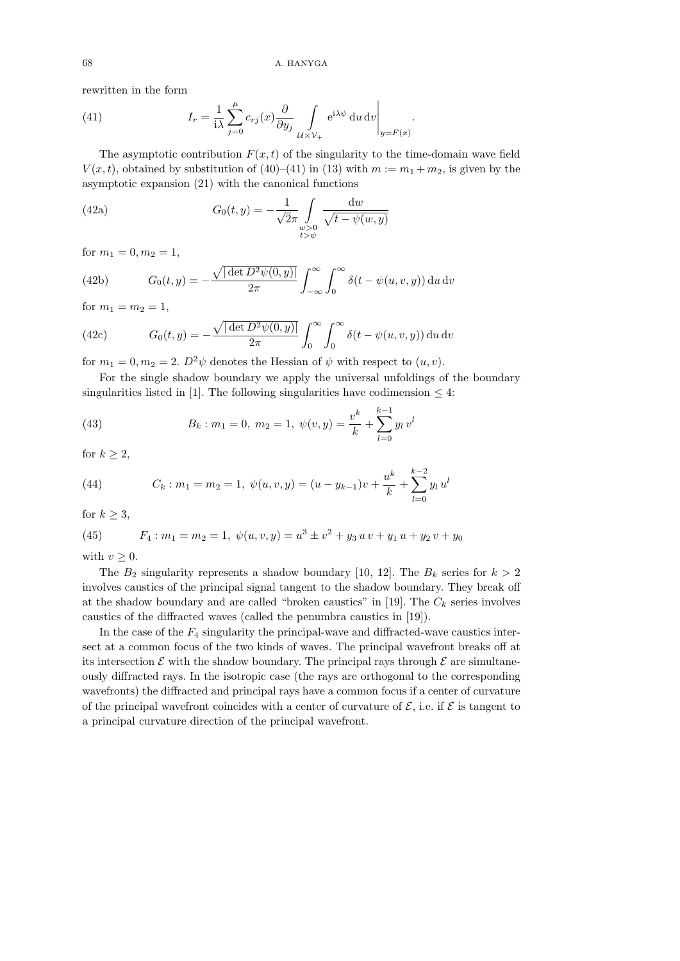.

rewritten in the form

(41) 
$$
I_r = \frac{1}{i\lambda} \sum_{j=0}^{\mu} c_{rj}(x) \frac{\partial}{\partial y_j} \int_{\mathcal{U} \times \mathcal{V}_+} e^{i\lambda \psi} du dv \Big|_{y = F(x)}
$$

The asymptotic contribution  $F(x, t)$  of the singularity to the time-domain wave field  $V(x, t)$ , obtained by substitution of (40)–(41) in (13) with  $m := m_1 + m_2$ , is given by the asymptotic expansion (21) with the canonical functions

(42a) 
$$
G_0(t, y) = -\frac{1}{\sqrt{2\pi}} \int_{\substack{w > 0 \\ t > \psi}} \frac{dw}{\sqrt{t - \psi(w, y)}}
$$

for  $m_1 = 0, m_2 = 1$ ,

(42b) 
$$
G_0(t,y) = -\frac{\sqrt{|\det D^2 \psi(0,y)|}}{2\pi} \int_{-\infty}^{\infty} \int_0^{\infty} \delta(t - \psi(u,v,y)) du dv
$$

for  $m_1 = m_2 = 1$ ,

(42c) 
$$
G_0(t,y) = -\frac{\sqrt{|\det D^2 \psi(0,y)|}}{2\pi} \int_0^\infty \int_0^\infty \delta(t-\psi(u,v,y)) du dv
$$

for  $m_1 = 0, m_2 = 2$ .  $D^2 \psi$  denotes the Hessian of  $\psi$  with respect to  $(u, v)$ .

For the single shadow boundary we apply the universal unfoldings of the boundary singularities listed in [1]. The following singularities have codimension  $\leq 4$ :

(43) 
$$
B_k: m_1 = 0, m_2 = 1, \ \psi(v, y) = \frac{v^k}{k} + \sum_{l=0}^{k-1} y_l v^l
$$

for  $k \geq 2$ ,

(44) 
$$
C_k: m_1 = m_2 = 1, \ \psi(u, v, y) = (u - y_{k-1})v + \frac{u^k}{k} + \sum_{l=0}^{k-2} y_l u^l
$$

for  $k \geq 3$ ,

(45) 
$$
F_4: m_1 = m_2 = 1, \ \psi(u, v, y) = u^3 \pm v^2 + y_3 u v + y_1 u + y_2 v + y_0
$$

with  $v > 0$ .

The  $B_2$  singularity represents a shadow boundary [10, 12]. The  $B_k$  series for  $k > 2$ involves caustics of the principal signal tangent to the shadow boundary. They break off at the shadow boundary and are called "broken caustics" in [19]. The  $C_k$  series involves caustics of the diffracted waves (called the penumbra caustics in [19]).

In the case of the  $F_4$  singularity the principal-wave and diffracted-wave caustics intersect at a common focus of the two kinds of waves. The principal wavefront breaks off at its intersection  $\mathcal E$  with the shadow boundary. The principal rays through  $\mathcal E$  are simultaneously diffracted rays. In the isotropic case (the rays are orthogonal to the corresponding wavefronts) the diffracted and principal rays have a common focus if a center of curvature of the principal wavefront coincides with a center of curvature of  $\mathcal{E}$ , i.e. if  $\mathcal{E}$  is tangent to a principal curvature direction of the principal wavefront.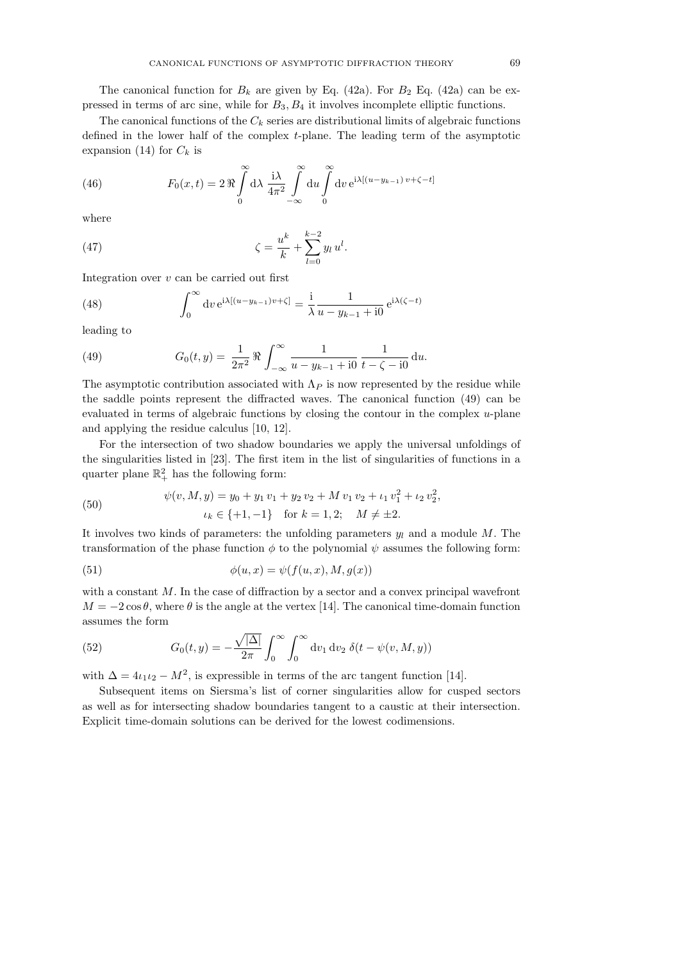The canonical function for  $B_k$  are given by Eq. (42a). For  $B_2$  Eq. (42a) can be expressed in terms of arc sine, while for  $B_3, B_4$  it involves incomplete elliptic functions.

The canonical functions of the  $C_k$  series are distributional limits of algebraic functions defined in the lower half of the complex t-plane. The leading term of the asymptotic expansion (14) for  $C_k$  is

(46) 
$$
F_0(x,t) = 2 \Re \int_0^{\infty} d\lambda \frac{i\lambda}{4\pi^2} \int_{-\infty}^{\infty} du \int_0^{\infty} dv e^{i\lambda[(u-y_{k-1})v+\zeta-t]}
$$

where

(47) 
$$
\zeta = \frac{u^k}{k} + \sum_{l=0}^{k-2} y_l u^l.
$$

Integration over  $v$  can be carried out first

(48) 
$$
\int_0^\infty dv \, e^{i\lambda[(u-y_{k-1})v+\zeta]} = \frac{i}{\lambda} \frac{1}{u-y_{k-1}+i0} \, e^{i\lambda(\zeta-t)}
$$

leading to

(49) 
$$
G_0(t,y) = \frac{1}{2\pi^2} \Re \int_{-\infty}^{\infty} \frac{1}{u - y_{k-1} + i0} \frac{1}{t - \zeta - i0} \, \mathrm{d}u.
$$

The asymptotic contribution associated with  $\Lambda_P$  is now represented by the residue while the saddle points represent the diffracted waves. The canonical function (49) can be evaluated in terms of algebraic functions by closing the contour in the complex u-plane and applying the residue calculus [10, 12].

For the intersection of two shadow boundaries we apply the universal unfoldings of the singularities listed in [23]. The first item in the list of singularities of functions in a quarter plane  $\mathbb{R}^2_+$  has the following form:

(50) 
$$
\psi(v, M, y) = y_0 + y_1 v_1 + y_2 v_2 + M v_1 v_2 + \iota_1 v_1^2 + \iota_2 v_2^2,
$$

$$
\iota_k \in \{+1, -1\} \quad \text{for } k = 1, 2; \quad M \neq \pm 2.
$$

It involves two kinds of parameters: the unfolding parameters  $y_l$  and a module M. The transformation of the phase function  $\phi$  to the polynomial  $\psi$  assumes the following form:

(51) 
$$
\phi(u,x) = \psi(f(u,x), M, g(x))
$$

with a constant M. In the case of diffraction by a sector and a convex principal wavefront  $M = -2\cos\theta$ , where  $\theta$  is the angle at the vertex [14]. The canonical time-domain function assumes the form

(52) 
$$
G_0(t,y) = -\frac{\sqrt{|\Delta|}}{2\pi} \int_0^\infty \int_0^\infty dv_1 dv_2 \ \delta(t - \psi(v, M, y))
$$

with  $\Delta = 4 \iota_1 \iota_2 - M^2$ , is expressible in terms of the arc tangent function [14].

Subsequent items on Siersma's list of corner singularities allow for cusped sectors as well as for intersecting shadow boundaries tangent to a caustic at their intersection. Explicit time-domain solutions can be derived for the lowest codimensions.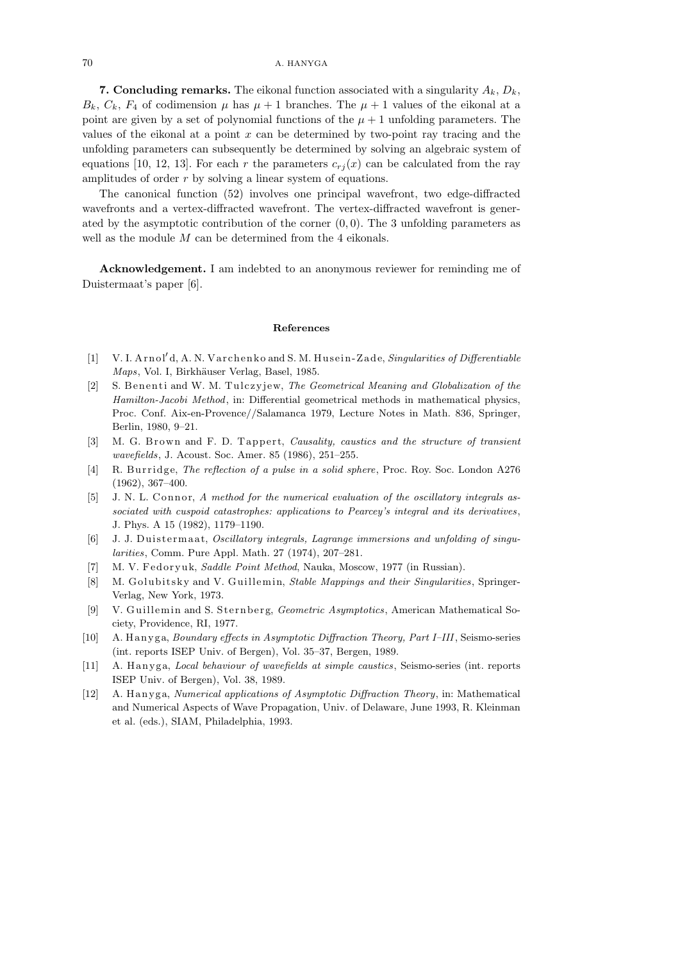**7. Concluding remarks.** The eikonal function associated with a singularity  $A_k$ ,  $D_k$ ,  $B_k$ ,  $C_k$ ,  $F_4$  of codimension  $\mu$  has  $\mu + 1$  branches. The  $\mu + 1$  values of the eikonal at a point are given by a set of polynomial functions of the  $\mu + 1$  unfolding parameters. The values of the eikonal at a point  $x$  can be determined by two-point ray tracing and the unfolding parameters can subsequently be determined by solving an algebraic system of equations [10, 12, 13]. For each r the parameters  $c_{rj}(x)$  can be calculated from the ray amplitudes of order  $r$  by solving a linear system of equations.

The canonical function (52) involves one principal wavefront, two edge-diffracted wavefronts and a vertex-diffracted wavefront. The vertex-diffracted wavefront is generated by the asymptotic contribution of the corner  $(0, 0)$ . The 3 unfolding parameters as well as the module  $M$  can be determined from the 4 eikonals.

Acknowledgement. I am indebted to an anonymous reviewer for reminding me of Duistermaat's paper [6].

## **References**

- [1] V. I. A rn ol*<sup>0</sup>* d, A. N. V a rchen k o and S. M. Hu sein -Z ade, *Singularities of Differentiable Maps*, Vol. I, Birkhäuser Verlag, Basel, 1985.
- [2] S. Benen ti and W. M. Tulcz y jew, *The Geometrical Meaning and Globalization of the Hamilton-Jacobi Method*, in: Differential geometrical methods in mathematical physics, Proc. Conf. Aix-en-Provence//Salamanca 1979, Lecture Notes in Math. 836, Springer, Berlin, 1980, 9–21.
- [3] M. G. Brown and F. D. Tappert, *Causality, caustics and the structure of transient wavefields*, J. Acoust. Soc. Amer. 85 (1986), 251–255.
- [4] R. Bu r rid ge, *The reflection of a pulse in a solid sphere*, Proc. Roy. Soc. London A276 (1962), 367–400.
- [5] J. N. L. Connor, *A method for the numerical evaluation of the oscillatory integrals associated with cuspoid catastrophes: applications to Pearcey's integral and its derivatives*, J. Phys. A 15 (1982), 1179–1190.
- [6] J. J. Duistermaat, *Oscillatory integrals*, *Lagrange immersions and unfolding of singularities*, Comm. Pure Appl. Math. 27 (1974), 207–281.
- [7] M. V. Fedoryuk, *Saddle Point Method*, Nauka, Moscow, 1977 (in Russian).
- [8] M. Golubitsky and V. Guillemin, *Stable Mappings and their Singularities*, Springer-Verlag, New York, 1973.
- [9] V. Guillemin and S. Sternberg, *Geometric Asymptotics*, American Mathematical Society, Providence, RI, 1977.
- [10] A. H an y g a, *Boundary effects in Asymptotic Diffraction Theory, Part I–III*, Seismo-series (int. reports ISEP Univ. of Bergen), Vol. 35–37, Bergen, 1989.
- [11] A. Hanyga, *Local behaviour of wavefields at simple caustics*, Seismo-series (int. reports ISEP Univ. of Bergen), Vol. 38, 1989.
- [12] A. H an y g a, *Numerical applications of Asymptotic Diffraction Theory*, in: Mathematical and Numerical Aspects of Wave Propagation, Univ. of Delaware, June 1993, R. Kleinman et al. (eds.), SIAM, Philadelphia, 1993.